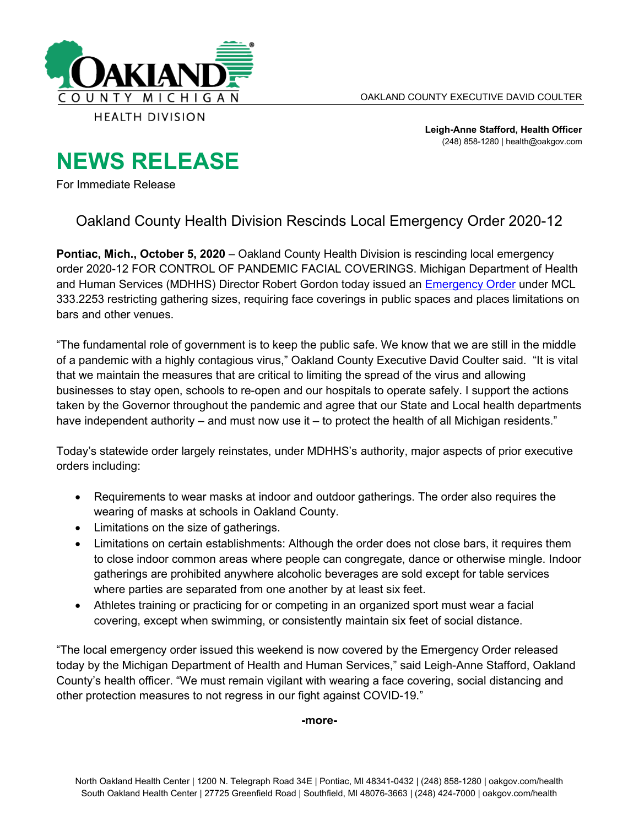

**Leigh-Anne Stafford, Health Officer** (248) 858-1280 | health@oakgov.com

## **NEWS RELEASE**

For Immediate Release

## Oakland County Health Division Rescinds Local Emergency Order 2020-12

**Pontiac, Mich., October 5, 2020** – Oakland County Health Division is rescinding local emergency order 2020-12 FOR CONTROL OF PANDEMIC FACIAL COVERINGS. Michigan Department of Health and Human Services (MDHHS) Director Robert Gordon today issued an [Emergency Order](https://lnks.gd/l/eyJhbGciOiJIUzI1NiJ9.eyJidWxsZXRpbl9saW5rX2lkIjoxMDAsInVyaSI6ImJwMjpjbGljayIsImJ1bGxldGluX2lkIjoiMjAyMDEwMDUuMjgyMzcyMDEiLCJ1cmwiOiJodHRwczovL3d3dy5taWNoaWdhbi5nb3YvZG9jdW1lbnRzL2Nvcm9uYXZpcnVzL01ESEhTX2VwaWRlbWljX29yZGVyXy1fR2F0aGVyaW5nc19tYXNrc19iYXJzX3Nwb3J0c18tX0ZJTkFMXzcwNDI4N183LnBkZiJ9.T2N-WbF_h7LNNlrWbVSWGnd_Q1_t8Nz5FN1jZfxBy78/s/1263417977/br/86429965283-l) under MCL 333.2253 restricting gathering sizes, requiring face coverings in public spaces and places limitations on bars and other venues.

"The fundamental role of government is to keep the public safe. We know that we are still in the middle of a pandemic with a highly contagious virus," Oakland County Executive David Coulter said. "It is vital that we maintain the measures that are critical to limiting the spread of the virus and allowing businesses to stay open, schools to re-open and our hospitals to operate safely. I support the actions taken by the Governor throughout the pandemic and agree that our State and Local health departments have independent authority – and must now use it – to protect the health of all Michigan residents."

Today's statewide order largely reinstates, under MDHHS's authority, major aspects of prior executive orders including:

- Requirements to wear masks at indoor and outdoor gatherings. The order also requires the wearing of masks at schools in Oakland County.
- Limitations on the size of gatherings.
- Limitations on certain establishments: Although the order does not close bars, it requires them to close indoor common areas where people can congregate, dance or otherwise mingle. Indoor gatherings are prohibited anywhere alcoholic beverages are sold except for table services where parties are separated from one another by at least six feet.
- Athletes training or practicing for or competing in an organized sport must wear a facial covering, except when swimming, or consistently maintain six feet of social distance.

"The local emergency order issued this weekend is now covered by the Emergency Order released today by the Michigan Department of Health and Human Services," said Leigh-Anne Stafford, Oakland County's health officer. "We must remain vigilant with wearing a face covering, social distancing and other protection measures to not regress in our fight against COVID-19."

**-more-**